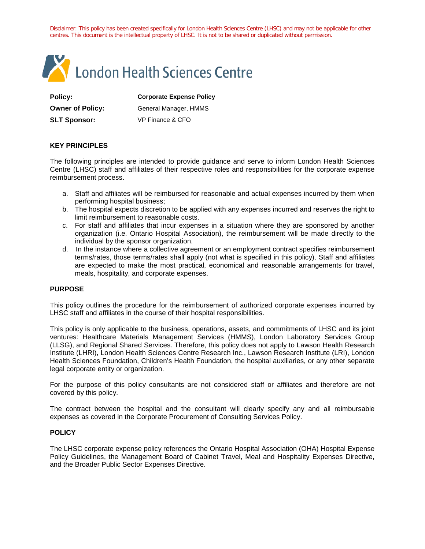Disclaimer: This policy has been created specifically for London Health Sciences Centre (LHSC) and may not be applicable for other centres. This document is the intellectual property of LHSC. It is not to be shared or duplicated without permission.



**Owner of Policy:** General Manager, HMMS

**Policy: Corporate Expense Policy**

**SLT Sponsor:** VP Finance & CFO

# **KEY PRINCIPLES**

The following principles are intended to provide guidance and serve to inform London Health Sciences Centre (LHSC) staff and [affiliates](https://appserver.lhsc.on.ca/policy/admin/_includes/fckeditor/editor/fckeditor.html?InstanceName=FCKeditor1&Toolbar=Default#affiliates) of their respective roles and responsibilities for the corporate expense reimbursement process.

- a. Staff and affiliates will be reimbursed for reasonable and actual expenses incurred by them when performing hospital business;
- b. The hospital expects discretion to be applied with any expenses incurred and reserves the right to limit reimbursement to reasonable costs.
- c. For staff and affiliates that incur expenses in a situation where they are sponsored by another organization (i.e. Ontario Hospital Association), the reimbursement will be made directly to the individual by the sponsor organization.
- d. In the instance where a collective agreement or an employment contract specifies reimbursement terms/rates, those terms/rates shall apply (not what is specified in this policy). Staff and affiliates are expected to make the most practical, economical and reasonable arrangements for travel, meals, hospitality, and corporate expenses.

## **PURPOSE**

This policy outlines the procedure for the reimbursement of authorized corporate expenses incurred by LHSC staff and affiliates in the course of their hospital responsibilities.

This policy is only applicable to the business, operations, assets, and commitments of LHSC and its joint ventures: Healthcare Materials Management Services (HMMS), London Laboratory Services Group (LLSG), and Regional Shared Services. Therefore, this policy does not apply to Lawson Health Research Institute (LHRI), London Health Sciences Centre Research Inc., Lawson Research Institute (LRI), London Health Sciences Foundation, Children's Health Foundation, the hospital auxiliaries, or any other separate legal corporate entity or organization.

For the purpose of this policy [consultants](https://appserver.lhsc.on.ca/policy/admin/_includes/fckeditor/editor/fckeditor.html?InstanceName=FCKeditor1&Toolbar=Default#consultants) are not considered staff or affiliates and therefore are not covered by this policy.

The contract between the hospital and the consultant will clearly specify any and all reimbursable expenses as covered in the [Corporate Procurement of Consulting Services Policy.](http://appserver.lhsc.on.ca/policy/search_res.php?polid=GEN048&live=1)

## **POLICY**

The LHSC corporate expense policy references the [Ontario Hospital Association \(OHA\) Hospital Expense](http://www.oha.com/News/Documents/OHA%20Hospital%20Expense%20Policy%20Guidelines%20-%20March%201.pdf)  [Policy Guidelines,](http://www.oha.com/News/Documents/OHA%20Hospital%20Expense%20Policy%20Guidelines%20-%20March%201.pdf) the [Management Board of Cabinet Travel, Meal and Hospitality Expenses Directive,](http://www.mgs.gov.on.ca/stdprodconsume/groups/content/@mgs/@home/documents/resourcelist/276507.pdf) and the [Broader Public Sector Expenses Directive.](http://www.fin.gov.on.ca/en/bpssupplychain/documents/bps_expenses_directive.html)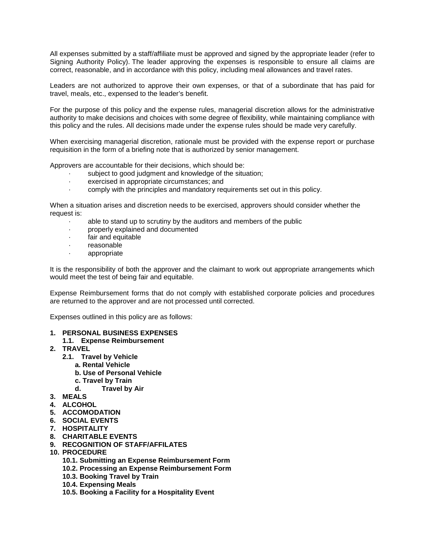All expenses submitted by a staff/affiliate must be approved and signed by the appropriate leader (refer to Signing Authority Policy). The leader approving the expenses is responsible to ensure all claims are correct, reasonable, and in accordance with this policy, including meal allowances and travel rates.

Leaders are not authorized to approve their own expenses, or that of a subordinate that has paid for travel, meals, etc., expensed to the leader's benefit.

For the purpose of this policy and the expense rules, managerial discretion allows for the administrative authority to make decisions and choices with some degree of flexibility, while maintaining compliance with this policy and the rules. All decisions made under the expense rules should be made very carefully.

When exercising managerial discretion, rationale must be provided with the expense report or purchase requisition in the form of a briefing note that is authorized by senior management.

Approvers are accountable for their decisions, which should be:

- subject to good judgment and knowledge of the situation;
- exercised in appropriate circumstances; and
- · comply with the principles and mandatory requirements set out in this policy.

When a situation arises and discretion needs to be exercised, approvers should consider whether the request is:

- · able to stand up to scrutiny by the auditors and members of the public
- · properly explained and documented
- · fair and equitable
- · reasonable
- · appropriate

It is the responsibility of both the approver and the claimant to work out appropriate arrangements which would meet the test of being fair and equitable.

Expense Reimbursement forms that do not comply with established corporate policies and procedures are returned to the approver and are not processed until corrected.

Expenses outlined in this policy are as follows:

- **1. [PERSONAL BUSINESS EXPENSES](https://appserver.lhsc.on.ca/policy/admin/_includes/fckeditor/editor/fckeditor.html?InstanceName=FCKeditor1&Toolbar=Default#personal_business_expenses)**
	- **1.1. [Expense Reimbursement](https://appserver.lhsc.on.ca/policy/admin/_includes/fckeditor/editor/fckeditor.html?InstanceName=FCKeditor1&Toolbar=Default#expense_reimbursement)**
- **2. [TRAVEL](https://appserver.lhsc.on.ca/policy/admin/_includes/fckeditor/editor/fckeditor.html?InstanceName=FCKeditor1&Toolbar=Default#travel)**
	- **2.1. [Travel by Vehicle](https://appserver.lhsc.on.ca/policy/admin/_includes/fckeditor/editor/fckeditor.html?InstanceName=FCKeditor1&Toolbar=Default#travel_by_vehicle)**
		- **a. [Rental Vehicle](https://appserver.lhsc.on.ca/policy/admin/_includes/fckeditor/editor/fckeditor.html?InstanceName=FCKeditor1&Toolbar=Default#rental_vehicle)**
		- **b. [Use of Personal Vehicle](https://appserver.lhsc.on.ca/policy/admin/_includes/fckeditor/editor/fckeditor.html?InstanceName=FCKeditor1&Toolbar=Default#personal_vehicle)**
		- **c. [Travel by Train](https://appserver.lhsc.on.ca/policy/admin/_includes/fckeditor/editor/fckeditor.html?InstanceName=FCKeditor1&Toolbar=Default#travel_by_train)**
		- **d. [Travel by Air](https://appserver.lhsc.on.ca/policy/admin/_includes/fckeditor/editor/fckeditor.html?InstanceName=FCKeditor1&Toolbar=Default#travel_by_air)**
- **3. [MEALS](https://appserver.lhsc.on.ca/policy/admin/_includes/fckeditor/editor/fckeditor.html?InstanceName=FCKeditor1&Toolbar=Default#meals)**
- **4. [ALCOHOL](https://appserver.lhsc.on.ca/policy/admin/_includes/fckeditor/editor/fckeditor.html?InstanceName=FCKeditor1&Toolbar=Default#alcohol)**
- **5. [ACCOMODATION](https://appserver.lhsc.on.ca/policy/admin/_includes/fckeditor/editor/fckeditor.html?InstanceName=FCKeditor1&Toolbar=Default#accommodation)**
- **6. [SOCIAL EVENTS](https://appserver.lhsc.on.ca/policy/admin/_includes/fckeditor/editor/fckeditor.html?InstanceName=FCKeditor1&Toolbar=Default#social_event)**
- **7. [HOSPITALITY](https://appserver.lhsc.on.ca/policy/admin/_includes/fckeditor/editor/fckeditor.html?InstanceName=FCKeditor1&Toolbar=Default#hospitality_events)**
- **8. [CHARITABLE EVENTS](https://appserver.lhsc.on.ca/policy/admin/_includes/fckeditor/editor/fckeditor.html?InstanceName=FCKeditor1&Toolbar=Default#charitable_events)**
- **9. [RECOGNITION OF STAFF/AFFILATES](https://appserver.lhsc.on.ca/policy/admin/_includes/fckeditor/editor/fckeditor.html?InstanceName=FCKeditor1&Toolbar=Default#recognition_of_staff_)**
- **10. [PROCEDURE](https://appserver.lhsc.on.ca/policy/admin/_includes/fckeditor/editor/fckeditor.html?InstanceName=FCKeditor1&Toolbar=Default#procedure)**
	- **10.1. [Submitting an Expense Reimbursement Form](https://appserver.lhsc.on.ca/policy/admin/_includes/fckeditor/editor/fckeditor.html?InstanceName=FCKeditor1&Toolbar=Default#submitting_an_expense_reimbursement_form)**
	- **10.2. [Processing an Expense Reimbursement Form](https://appserver.lhsc.on.ca/policy/admin/_includes/fckeditor/editor/fckeditor.html?InstanceName=FCKeditor1&Toolbar=Default#processing_an_expense_reimbursement_form)**
	- **10.3. [Booking Travel by Train](https://appserver.lhsc.on.ca/policy/admin/_includes/fckeditor/editor/fckeditor.html?InstanceName=FCKeditor1&Toolbar=Default#booking_travel_by_train)**
	- **10.4. [Expensing Meals](https://appserver.lhsc.on.ca/policy/admin/_includes/fckeditor/editor/fckeditor.html?InstanceName=FCKeditor1&Toolbar=Default#expensing_meals)**
	- **10.5. [Booking a Facility for a Hospitality Event](https://appserver.lhsc.on.ca/policy/admin/_includes/fckeditor/editor/fckeditor.html?InstanceName=FCKeditor1&Toolbar=Default#booking_a_facility)**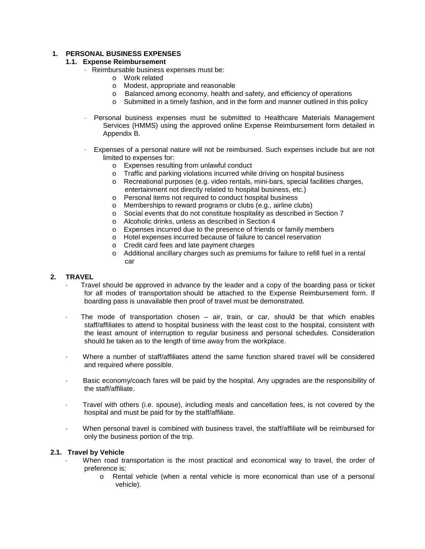# **1. PERSONAL BUSINESS EXPENSES**

# **1.1. Expense Reimbursement**

- · Reimbursable [business expenses](https://appserver.lhsc.on.ca/policy/admin/_includes/fckeditor/editor/fckeditor.html?InstanceName=FCKeditor1&Toolbar=Default#business_expenses) must be:
	- o Work related
	- o Modest, appropriate and reasonable
	- o Balanced among economy, health and safety, and efficiency of operations
	- o Submitted in a timely fashion, and in the form and manner outlined in this policy
- · Personal business expenses must be submitted to Healthcare Materials Management Services (HMMS) using the approved online Expense Reimbursement form detailed in [Appendix B.](https://appserver.lhsc.on.ca/policy/admin/_includes/fckeditor/editor/fckeditor.html?InstanceName=FCKeditor1&Toolbar=Default#app_b)
- · Expenses of a personal nature will not be reimbursed. Such expenses include but are not limited to expenses for:
	- o Expenses resulting from unlawful conduct
	- o Traffic and parking violations incurred while driving on hospital business
	- o Recreational purposes (e.g. video rentals, mini-bars, special facilities charges, entertainment not directly related to hospital business, etc.)
	- o Personal items not required to conduct hospital business
	- o Memberships to reward programs or clubs (e.g., airline clubs)
	- o Social events that do not constitute hospitality as described in [Section](https://appserver.lhsc.on.ca/policy/admin/_includes/fckeditor/editor/fckeditor.html?InstanceName=FCKeditor1&Toolbar=Default#hospitality_events) 7
	- o Alcoholic drinks, unless as described in [Section 4](https://appserver.lhsc.on.ca/policy/admin/_includes/fckeditor/editor/fckeditor.html?InstanceName=FCKeditor1&Toolbar=Default#alcohol)
	- o Expenses incurred due to the presence of friends or family members
	- o Hotel expenses incurred because of failure to cancel reservation
	- o Credit card fees and late payment charges
	- o Additional ancillary charges such as premiums for failure to refill fuel in a rental car

# **2. [TRAVEL](https://appserver.lhsc.on.ca/policy/admin/_includes/fckeditor/editor/fckeditor.html?InstanceName=FCKeditor1&Toolbar=Default#business_travel)**

- · Travel should be approved in advance by the leader and a copy of the boarding pass or ticket for all modes of transportation should be attached to the Expense Reimbursement form. If boarding pass is unavailable then proof of travel must be demonstrated.
- The mode of transportation chosen  $-$  air, train, or car, should be that which enables staff/affiliates to attend to hospital business with the least cost to the hospital, consistent with the least amount of interruption to regular business and personal schedules. Consideration should be taken as to the length of time away from the workplace.
- · Where a number of staff/affiliates attend the same function shared travel will be considered and required where possible.
- Basic economy/coach fares will be paid by the hospital. Any upgrades are the responsibility of the staff/affiliate.
- · Travel with others (i.e. spouse), including meals and cancellation fees, is not covered by the hospital and must be paid for by the staff/affiliate.
- When personal travel is combined with business travel, the staff/affiliate will be reimbursed for only the business portion of the trip.

## **2.1. Travel by Vehicle**

- When road transportation is the most practical and economical way to travel, the order of preference is:
	- o Rental vehicle (when a rental vehicle is more economical than use of a personal vehicle).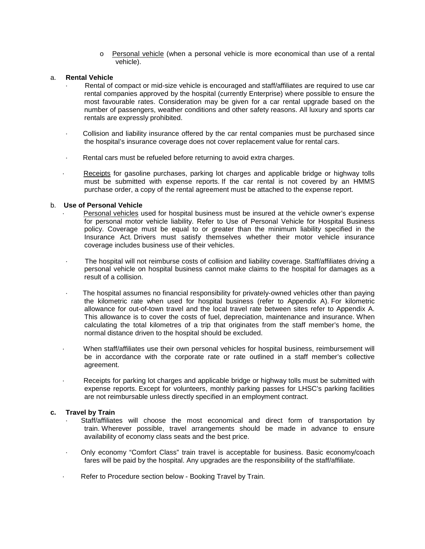o Personal vehicle (when a personal vehicle is more economical than use of a rental vehicle).

## a. **Rental Vehicle**

- Rental of compact or mid-size vehicle is encouraged and staff/affiliates are required to use car rental companies approved by the hospital (currently [Enterprise\)](http://www.enterprise.com/car_rental/home.do) where possible to ensure the most favourable rates. Consideration may be given for a car rental upgrade based on the number of passengers, weather conditions and other safety reasons. All luxury and sports car rentals are expressly prohibited.
- Collision and liability insurance offered by the car rental companies must be purchased since the hospital's insurance coverage does not cover replacement value for rental cars.
- · Rental cars must be refueled before returning to avoid extra charges.
- · [Receipts](https://appserver.lhsc.on.ca/policy/admin/_includes/fckeditor/editor/fckeditor.html?InstanceName=FCKeditor1&Toolbar=Default#receipt_) for gasoline purchases, parking lot charges and applicable bridge or highway tolls must be submitted with expense reports. If the car rental is not covered by an HMMS purchase order, a copy of the rental agreement must be attached to the expense report.

# b. **Use of Personal Vehicle**

- [Personal vehicles](https://appserver.lhsc.on.ca/policy/admin/_includes/fckeditor/editor/fckeditor.html?InstanceName=FCKeditor1&Toolbar=Default#personal_vehicle) used for hospital business must be insured at the vehicle owner's expense for personal motor vehicle liability. Refer to [Use of Personal Vehicle for Hospital Business](http://appserver.lhsc.on.ca/policy/search_res.php?polid=GEN018&live=1) policy. Coverage must be equal to or greater than the minimum liability specified in the Insurance Act. Drivers must satisfy themselves whether their motor vehicle insurance coverage includes business use of their vehicles.
- The hospital will not reimburse costs of collision and liability coverage. Staff/affiliates driving a personal vehicle on hospital business cannot make claims to the hospital for damages as a result of a collision.
- · The hospital assumes no financial responsibility for privately-owned vehicles other than paying the kilometric rate when used for hospital business (refer to [Appendix A\)](https://appserver.lhsc.on.ca/policy/admin/_includes/fckeditor/editor/fckeditor.html?InstanceName=FCKeditor1&Toolbar=Default#app_a). For kilometric allowance for out-of-town travel and the local travel rate between sites refer to [Appendix A.](https://appserver.lhsc.on.ca/policy/admin/_includes/fckeditor/editor/fckeditor.html?InstanceName=FCKeditor1&Toolbar=Default#app_a) This allowance is to cover the costs of fuel, depreciation, maintenance and insurance. When calculating the total kilometres of a trip that originates from the staff member's home, the normal distance driven to the hospital should be excluded.
- · When staff/affiliates use their own personal vehicles for hospital business, reimbursement will be in accordance with the corporate rate or rate outlined in a staff member's collective agreement.
- Receipts for parking lot charges and applicable bridge or highway tolls must be submitted with expense reports. Except for volunteers, monthly parking passes for LHSC's parking facilities are not reimbursable unless directly specified in an employment contract.

## **c. Travel by Train**

- Staff/affiliates will choose the most economical and direct form of transportation by train. Wherever possible, travel arrangements should be made in advance to ensure availability of economy class seats and the best price.
- · Only economy "Comfort Class" train travel is acceptable for business. Basic economy/coach fares will be paid by the hospital. Any upgrades are the responsibility of the staff/affiliate.
- Refer to Procedure section below [Booking Travel by Train.](https://appserver.lhsc.on.ca/policy/admin/_includes/fckeditor/editor/fckeditor.html?InstanceName=FCKeditor1&Toolbar=Default#booking_travel_by_train)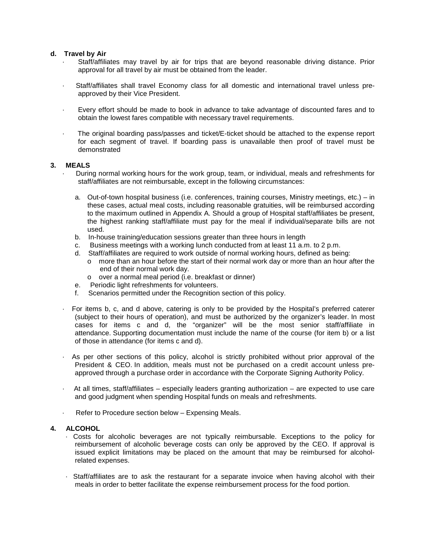## **d. Travel by Air**

- · Staff/affiliates may travel by air for trips that are beyond reasonable driving distance. Prior approval for all travel by air must be obtained from the leader.
- · Staff/affiliates shall travel Economy class for all domestic and international travel unless preapproved by their Vice President.
- Every effort should be made to book in advance to take advantage of discounted fares and to obtain the lowest fares compatible with necessary travel requirements.
- · The original boarding pass/passes and ticket/E-ticket should be attached to the expense report for each segment of travel. If boarding pass is unavailable then proof of travel must be demonstrated

# **3. [MEALS](https://appserver.lhsc.on.ca/policy/admin/_includes/fckeditor/editor/fckeditor.html?InstanceName=FCKeditor1&Toolbar=Default#business_meals)**

- · During normal working hours for the work group, team, or individual, meals and refreshments for staff/affiliates are not reimbursable, except in the following circumstances:
	- a. Out-of-town hospital business (i.e. conferences, training courses, Ministry meetings, etc.) in these cases, actual meal costs, including reasonable gratuities, will be reimbursed according to the maximum outlined in [Appendix A.](https://appserver.lhsc.on.ca/policy/admin/_includes/fckeditor/editor/fckeditor.html?InstanceName=FCKeditor1&Toolbar=Default#app_a) Should a group of Hospital staff/affiliates be present, the highest ranking staff/affiliate must pay for the meal if individual/separate bills are not used.
	- b. In-house training/education sessions greater than three hours in length
	- c. Business meetings with a working lunch conducted from at least 11 a.m. to 2 p.m.
	- d. Staff/affiliates are required to work outside of normal working hours, defined as being:
		- o more than an hour before the start of their normal work day or more than an hour after the end of their normal work day.
		- o over a normal meal period (i.e. breakfast or dinner)
	- e. Periodic light refreshments for volunteers.
	- f. Scenarios permitted under the [Recognition](https://appserver.lhsc.on.ca/policy/admin/_includes/fckeditor/editor/fckeditor.html?InstanceName=FCKeditor1&Toolbar=Default#recognition_of_staff_) section of this policy.
- · For items b, c, and d above, catering is only to be provided by the Hospital's preferred caterer (subject to their hours of operation), and must be authorized by the organizer's leader. In most cases for items c and d, the "organizer" will be the most senior staff/affiliate in attendance. Supporting documentation must include the name of the course (for item b) or a list of those in attendance (for items c and d).
- As per other sections of this policy, alcohol is strictly prohibited without prior approval of the President & CEO. In addition, meals must not be purchased on a credit account unless preapproved through a purchase order in accordance with the [Corporate Signing Authority Policy.](http://appserver.lhsc.on.ca/policy/search_res.php?polid=GEN047&live=1)
- · At all times, staff/affiliates especially leaders granting [authorization](https://appserver.lhsc.on.ca/policy/admin/_includes/fckeditor/editor/fckeditor.html?InstanceName=FCKeditor1&Toolbar=Default#authorization) are expected to use care and good judgment when spending Hospital funds on meals and refreshments.
- Refer to Procedure section below [Expensing Meals.](https://appserver.lhsc.on.ca/policy/admin/_includes/fckeditor/editor/fckeditor.html?InstanceName=FCKeditor1&Toolbar=Default#expensing_meals)

## **4. ALCOHOL**

- Costs for alcoholic beverages are not typically reimbursable. Exceptions to the policy for reimbursement of alcoholic beverage costs can only be approved by the CEO. If approval is issued explicit limitations may be placed on the amount that may be reimbursed for alcoholrelated expenses.
- · Staff/affiliates are to ask the restaurant for a separate invoice when having alcohol with their meals in order to better facilitate the expense reimbursement process for the food portion.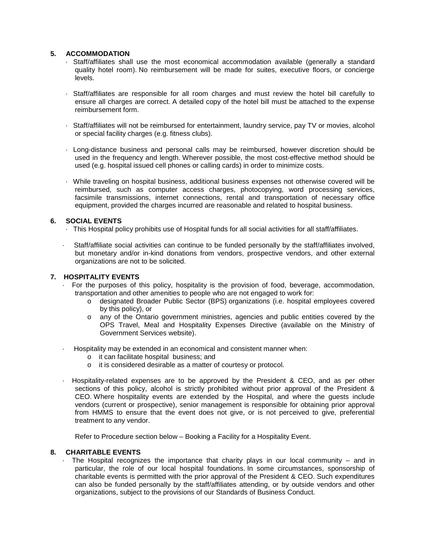# **5. ACCOMMODATION**

- · Staff/affiliates shall use the most economical accommodation available (generally a standard quality hotel room). No reimbursement will be made for suites, executive floors, or concierge levels.
- · Staff/affiliates are responsible for all room charges and must review the hotel bill carefully to ensure all charges are correct. A detailed copy of the hotel bill must be attached to the expense reimbursement form.
- · Staff/affiliates will not be reimbursed for entertainment, laundry service, pay TV or movies, alcohol or special facility charges (e.g. fitness clubs).
- · Long-distance business and personal calls may be reimbursed, however discretion should be used in the frequency and length. Wherever possible, the most cost-effective method should be used (e.g. hospital issued cell phones or calling cards) in order to minimize costs.
- · While traveling on hospital business, additional business expenses not otherwise covered will be reimbursed, such as computer access charges, photocopying, word processing services, facsimile transmissions, internet connections, rental and transportation of necessary office equipment, provided the charges incurred are reasonable and related to hospital business.

# **6. SOCIAL EVENTS**

- · This Hospital policy prohibits use of Hospital funds for all social activities for all staff/affiliates.
- Staff/affiliate social activities can continue to be funded personally by the staff/affiliates involved, but monetary and/or in-kind donations from vendors, prospective vendors, and other external organizations are not to be solicited.

## **7. HOSPITALITY EVENTS**

- · For the purposes of this policy, [hospitality](https://appserver.lhsc.on.ca/policy/admin/_includes/fckeditor/editor/fckeditor.html?InstanceName=FCKeditor1&Toolbar=Default#hospitality) is the provision of food, beverage, accommodation, transportation and other amenities to people who are not engaged to work for:
	- o designated Broader Public Sector (BPS) organizations (i.e. hospital employees covered by this policy), or
	- o any of the Ontario government ministries, agencies and public entities covered by the OPS Travel, Meal and Hospitality Expenses Directive (available on the [Ministry of](http://www.mgs.gov.on.ca/en/Home/index.htm)  [Government Services website\)](http://www.mgs.gov.on.ca/en/Home/index.htm).
- Hospitality may be extended in an economical and consistent manner when:
	- o it can facilitate hospital business; and
	- o it is considered desirable as a matter of courtesy or protocol.
- · Hospitality-related expenses are to be approved by the President & CEO, and as per other sections of this policy, alcohol is strictly prohibited without prior approval of the President & CEO. Where hospitality events are extended by the Hospital, and where the guests include vendors (current or prospective), senior management is responsible for obtaining prior approval from HMMS to ensure that the event does not give, or is not perceived to give, preferential treatment to any vendor.

Refer to Procedure section below – [Booking a Facility for a Hospitality Event.](https://appserver.lhsc.on.ca/policy/admin/_includes/fckeditor/editor/fckeditor.html?InstanceName=FCKeditor1&Toolbar=Default#booking_a_facility)

# **8. CHARITABLE EVENTS**

The Hospital recognizes the importance that charity plays in our local community  $-$  and in particular, the role of our local hospital foundations. In some circumstances, sponsorship of charitable events is permitted with the prior approval of the President & CEO. Such expenditures can also be funded personally by the staff/affiliates attending, or by outside vendors and other organizations, subject to the provisions of our Standards of Business Conduct.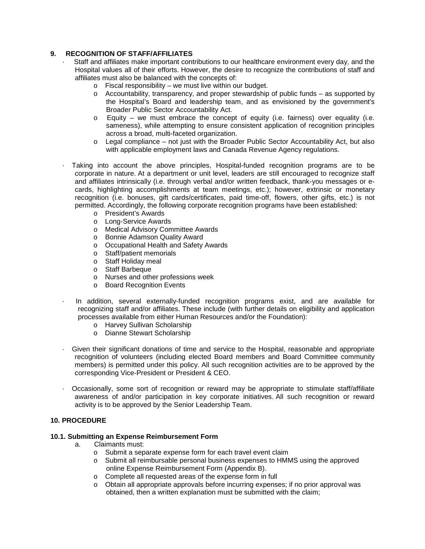# **9. RECOGNITION OF STAFF/AFFILIATES**

- Staff and affiliates make important contributions to our healthcare environment every day, and the Hospital values all of their efforts. However, the desire to recognize the contributions of staff and affiliates must also be balanced with the concepts of:
	- o Fiscal responsibility we must live within our budget.
	- o Accountability, transparency, and proper stewardship of public funds as supported by the Hospital's Board and leadership team, and as envisioned by the government's [Broader Public Sector Accountability Act.](http://www.e-laws.gov.on.ca/html/statutes/english/elaws_statutes_10b25_e.htm)
	- o Equity we must embrace the concept of equity (i.e. fairness) over equality (i.e. sameness), while attempting to ensure consistent application of recognition principles across a broad, multi-faceted organization.
	- o Legal compliance not just with the [Broader Public Sector Accountability Act,](http://www.e-laws.gov.on.ca/html/statutes/english/elaws_statutes_10b25_e.htm) but also with applicable employment laws and Canada Revenue Agency regulations.
- · Taking into account the above principles, Hospital-funded recognition programs are to be corporate in nature. At a department or unit level, leaders are still encouraged to recognize staff and affiliates intrinsically (i.e. through verbal and/or written feedback, thank-you messages or ecards, highlighting accomplishments at team meetings, etc.); however, extrinsic or monetary recognition (i.e. bonuses, gift cards/certificates, paid time-off, flowers, other gifts, etc.) is not permitted. Accordingly, the following corporate recognition programs have been established:
	- o President's Awards
	- o Long-Service Awards
	- o Medical Advisory Committee Awards
	- o Bonnie Adamson Quality Award
	- o Occupational Health and Safety Awards
	- o Staff/patient memorials
	- o Staff Holiday meal
	- o Staff Barbeque
	- o Nurses and other professions week
	- o Board Recognition Events
- In addition, several externally-funded recognition programs exist, and are available for recognizing staff and/or affiliates. These include (with further details on eligibility and application processes available from either Human Resources and/or the Foundation):
	- o Harvey Sullivan Scholarship
	- o Dianne Stewart Scholarship
- Given their significant donations of time and service to the Hospital, reasonable and appropriate recognition of volunteers (including elected Board members and Board Committee community members) is permitted under this policy. All such recognition activities are to be approved by the corresponding Vice-President or President & CEO.
- · Occasionally, some sort of recognition or reward may be appropriate to stimulate staff/affiliate awareness of and/or participation in key corporate initiatives. All such recognition or reward activity is to be approved by the Senior Leadership Team.

# **10. PROCEDURE**

## **10.1. Submitting an Expense Reimbursement Form**

- a. Claimants must:
	- o Submit a separate expense form for each travel event claim
	- o Submit all reimbursable personal business expenses to HMMS using the approved online Expense Reimbursement Form [\(Appendix B\)](https://appserver.lhsc.on.ca/policy/admin/_includes/fckeditor/editor/fckeditor.html?InstanceName=FCKeditor1&Toolbar=Default#app_b).
	- o Complete all requested areas of the expense form in full
	- o Obtain all appropriate approvals before incurring expenses; if no prior approval was obtained, then a written explanation must be submitted with the claim;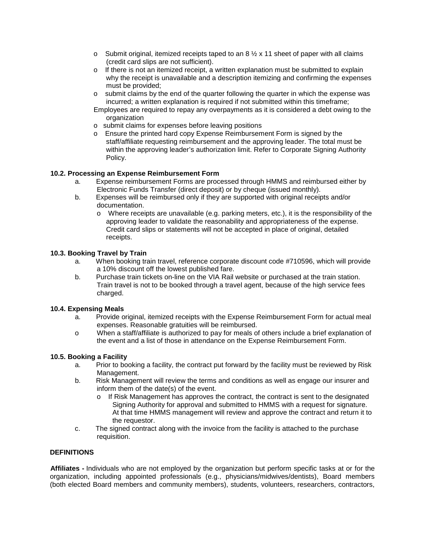- o Submit original, itemized receipts taped to an  $8\frac{1}{2} \times 11$  sheet of paper with all claims (credit card slips are not sufficient).
- o If there is not an itemized receipt, a written explanation must be submitted to explain why the receipt is unavailable and a description itemizing and confirming the expenses must be provided;
- o submit claims by the end of the quarter following the quarter in which the expense was incurred; a written explanation is required if not submitted within this timeframe;
- Employees are required to repay any overpayments as it is considered a debt owing to the organization
- o submit claims for expenses before leaving positions
- o Ensure the printed hard copy Expense Reimbursement Form is signed by the staff/affiliate requesting reimbursement and the approving leader. The total must be within the approving leader's authorization limit. Refer to [Corporate Signing Authority](http://appserver.lhsc.on.ca/policy/search_res.php?polid=GEN047&live=1)  [Policy.](http://appserver.lhsc.on.ca/policy/search_res.php?polid=GEN047&live=1)

# **10.2. Processing an Expense Reimbursement Form**

- a. Expense reimbursement Forms are processed through HMMS and reimbursed either by Electronic Funds Transfer (direct deposit) or by cheque (issued monthly).
- b. Expenses will be reimbursed only if they are supported with original receipts and/or documentation.
	- o Where receipts are unavailable (e.g. parking meters, etc.), it is the responsibility of the approving leader to validate the reasonability and appropriateness of the expense. Credit card slips or statements will not be accepted in place of original, detailed receipts.

# **10.3. Booking Travel by Train**

- a. When booking train travel, reference corporate discount code #710596, which will provide a 10% discount off the lowest published fare.
- b. Purchase train tickets on-line on the [VIA Rail website](http://www.viarail.ca/en/fares/business-travel/corporate-fares/hmms) or purchased at the train station. Train travel is not to be booked through a travel agent, because of the high service fees charged.

## **10.4. Expensing Meals**

- a. Provide original, itemized receipts with the Expense Reimbursement Form for actual meal expenses. Reasonable gratuities will be reimbursed.
- o When a staff/affiliate is authorized to pay for meals of others include a brief explanation of the event and a list of those in attendance on the Expense Reimbursement Form.

## **10.5. Booking a Facility**

- a. Prior to booking a facility, the contract put forward by the facility must be reviewed by Risk Management.
- b. Risk Management will review the terms and conditions as well as engage our insurer and inform them of the date(s) of the event.
	- o If Risk Management has approves the contract, the contract is sent to the designated Signing Authority for approval and submitted to HMMS with a request for signature. At that time HMMS management will review and approve the contract and return it to the requestor.
- c. The signed contract along with the invoice from the facility is attached to the purchase requisition.

## **DEFINITIONS**

**Affiliates -** Individuals who are not employed by the organization but perform specific tasks at or for the organization, including appointed professionals (e.g., physicians/midwives/dentists), Board members (both elected Board members and community members), students, volunteers, researchers, contractors,